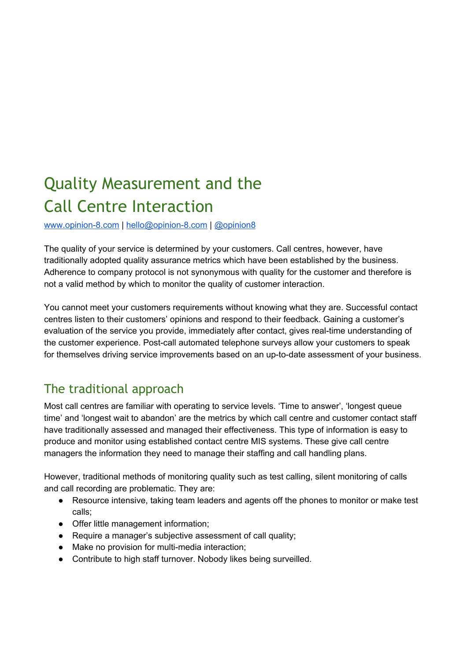## Quality Measurement and the Call Centre Interaction

www.opinion-8.com | hello@opinion-8.com | [@opinion8](https://twitter.com/opinion8)

The quality of your service is determined by your customers. Call centres, however, have traditionally adopted quality assurance metrics which have been established by the business. Adherence to company protocol is not synonymous with quality for the customer and therefore is not a valid method by which to monitor the quality of customer interaction.

You cannot meet your customers requirements without knowing what they are. Successful contact centres listen to their customers' opinions and respond to their feedback. Gaining a customer's evaluation of the service you provide, immediately after contact, gives real-time understanding of the customer experience. Post-call automated telephone surveys allow your customers to speak for themselves driving service improvements based on an up-to-date assessment of your business.

## The traditional approach

Most call centres are familiar with operating to service levels. 'Time to answer', 'longest queue time' and 'longest wait to abandon' are the metrics by which call centre and customer contact staff have traditionally assessed and managed their effectiveness. This type of information is easy to produce and monitor using established contact centre MIS systems. These give call centre managers the information they need to manage their staffing and call handling plans.

However, traditional methods of monitoring quality such as test calling, silent monitoring of calls and call recording are problematic. They are:

- Resource intensive, taking team leaders and agents off the phones to monitor or make test calls;
- Offer little management information;
- Require a manager's subjective assessment of call quality;
- Make no provision for multi-media interaction;
- Contribute to high staff turnover. Nobody likes being surveilled.